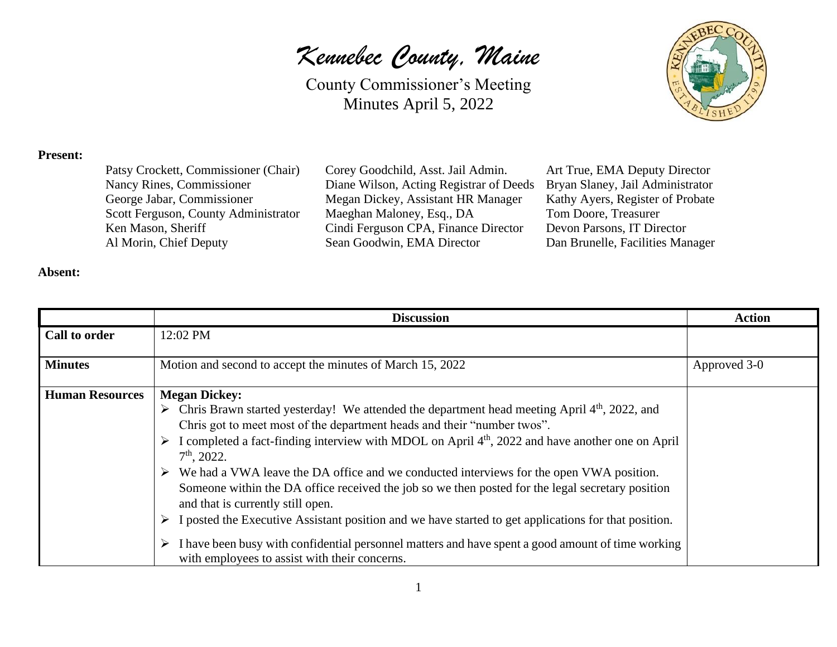County Commissioner's Meeting Minutes April 5, 2022



#### **Present:**

| Patsy Crockett, Commissioner (Chair) |
|--------------------------------------|
| Nancy Rines, Commissioner            |
| George Jabar, Commissioner           |
| Scott Ferguson, County Administrator |
| Ken Mason, Sheriff                   |
| Al Morin, Chief Deputy               |

Corey Goodchild, Asst. Jail Admin. Art True, EMA Deputy Director Diane Wilson, Acting Registrar of Deeds Bryan Slaney, Jail Administrator Megan Dickey, Assistant HR Manager Kathy Ayers, Register of Probate Maeghan Maloney, Esq., DA Tom Doore, Treasurer Cindi Ferguson CPA, Finance Director Devon Parsons, IT Director Sean Goodwin, EMA Director Dan Brunelle, Facilities Manager

#### **Absent:**

|                        | <b>Discussion</b>                                                                                                                                       | <b>Action</b> |
|------------------------|---------------------------------------------------------------------------------------------------------------------------------------------------------|---------------|
| Call to order          | 12:02 PM                                                                                                                                                |               |
|                        |                                                                                                                                                         |               |
| <b>Minutes</b>         | Motion and second to accept the minutes of March 15, 2022                                                                                               | Approved 3-0  |
| <b>Human Resources</b> | <b>Megan Dickey:</b>                                                                                                                                    |               |
|                        | $\triangleright$ Chris Brawn started yesterday! We attended the department head meeting April 4 <sup>th</sup> , 2022, and                               |               |
|                        | Chris got to meet most of the department heads and their "number twos".                                                                                 |               |
|                        | $\triangleright$ I completed a fact-finding interview with MDOL on April 4 <sup>th</sup> , 2022 and have another one on April<br>$7th$ , 2022.          |               |
|                        |                                                                                                                                                         |               |
|                        | $\triangleright$ We had a VWA leave the DA office and we conducted interviews for the open VWA position.                                                |               |
|                        | Someone within the DA office received the job so we then posted for the legal secretary position<br>and that is currently still open.                   |               |
|                        | I posted the Executive Assistant position and we have started to get applications for that position.<br>➤                                               |               |
|                        | I have been busy with confidential personnel matters and have spent a good amount of time working<br>➤<br>with employees to assist with their concerns. |               |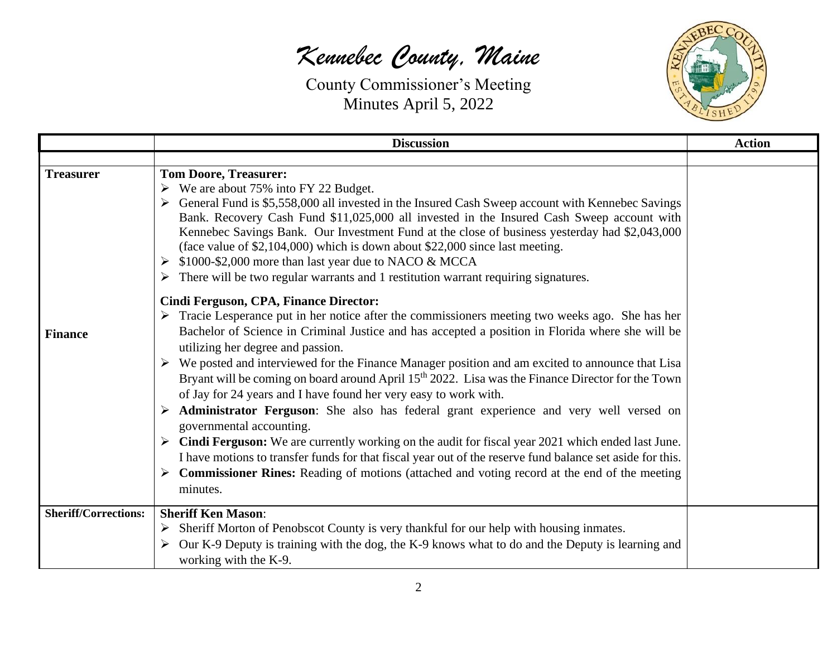

|                             | <b>Discussion</b>                                                                                                                                                                                                                                                                                                                                                                                                                                                                                                                                                                                                                                                                                                                                                                                                                                                                                                                                                                                                                       | <b>Action</b> |
|-----------------------------|-----------------------------------------------------------------------------------------------------------------------------------------------------------------------------------------------------------------------------------------------------------------------------------------------------------------------------------------------------------------------------------------------------------------------------------------------------------------------------------------------------------------------------------------------------------------------------------------------------------------------------------------------------------------------------------------------------------------------------------------------------------------------------------------------------------------------------------------------------------------------------------------------------------------------------------------------------------------------------------------------------------------------------------------|---------------|
|                             |                                                                                                                                                                                                                                                                                                                                                                                                                                                                                                                                                                                                                                                                                                                                                                                                                                                                                                                                                                                                                                         |               |
| <b>Treasurer</b>            | <b>Tom Doore, Treasurer:</b><br>$\triangleright$ We are about 75% into FY 22 Budget.<br>> General Fund is \$5,558,000 all invested in the Insured Cash Sweep account with Kennebec Savings<br>Bank. Recovery Cash Fund \$11,025,000 all invested in the Insured Cash Sweep account with<br>Kennebec Savings Bank. Our Investment Fund at the close of business yesterday had \$2,043,000<br>(face value of \$2,104,000) which is down about \$22,000 since last meeting.<br>\$1000-\$2,000 more than last year due to NACO & MCCA<br>There will be two regular warrants and 1 restitution warrant requiring signatures.                                                                                                                                                                                                                                                                                                                                                                                                                 |               |
|                             | Cindi Ferguson, CPA, Finance Director:                                                                                                                                                                                                                                                                                                                                                                                                                                                                                                                                                                                                                                                                                                                                                                                                                                                                                                                                                                                                  |               |
| <b>Finance</b>              | $\triangleright$ Tracie Lesperance put in her notice after the commissioners meeting two weeks ago. She has her<br>Bachelor of Science in Criminal Justice and has accepted a position in Florida where she will be<br>utilizing her degree and passion.<br>$\triangleright$ We posted and interviewed for the Finance Manager position and am excited to announce that Lisa<br>Bryant will be coming on board around April 15 <sup>th</sup> 2022. Lisa was the Finance Director for the Town<br>of Jay for 24 years and I have found her very easy to work with.<br>> Administrator Ferguson: She also has federal grant experience and very well versed on<br>governmental accounting.<br>Cindi Ferguson: We are currently working on the audit for fiscal year 2021 which ended last June.<br>I have motions to transfer funds for that fiscal year out of the reserve fund balance set aside for this.<br>$\triangleright$ Commissioner Rines: Reading of motions (attached and voting record at the end of the meeting<br>minutes. |               |
| <b>Sheriff/Corrections:</b> | <b>Sheriff Ken Mason:</b><br>Sheriff Morton of Penobscot County is very thankful for our help with housing inmates.<br>➤<br>Our K-9 Deputy is training with the dog, the K-9 knows what to do and the Deputy is learning and<br>working with the K-9.                                                                                                                                                                                                                                                                                                                                                                                                                                                                                                                                                                                                                                                                                                                                                                                   |               |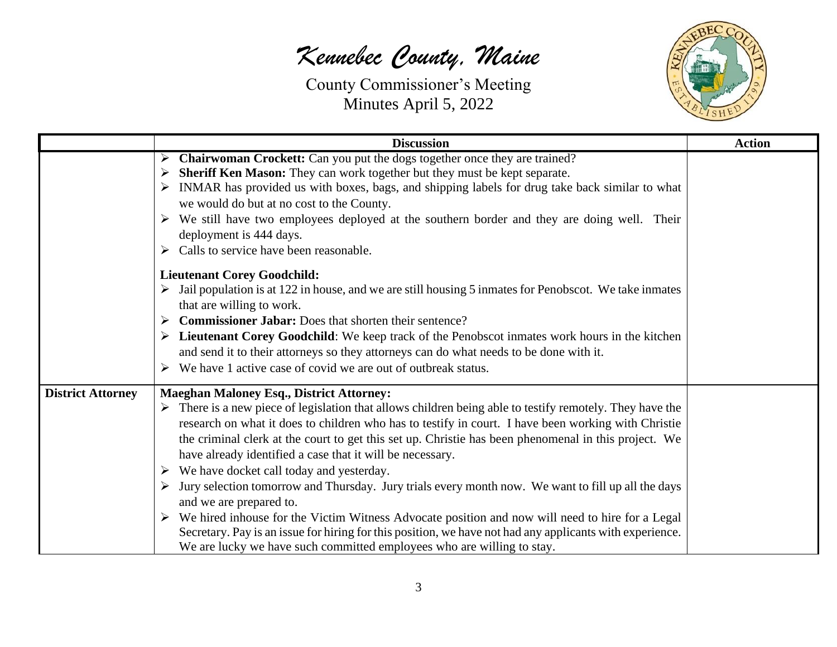

|                          | <b>Discussion</b>                                                                                                                                                                                                                                                                                                                                                                                                                                                                                                                                                                                                                                                                                                                                                                                                                                                                                                                                              | <b>Action</b> |
|--------------------------|----------------------------------------------------------------------------------------------------------------------------------------------------------------------------------------------------------------------------------------------------------------------------------------------------------------------------------------------------------------------------------------------------------------------------------------------------------------------------------------------------------------------------------------------------------------------------------------------------------------------------------------------------------------------------------------------------------------------------------------------------------------------------------------------------------------------------------------------------------------------------------------------------------------------------------------------------------------|---------------|
|                          | <b>Chairwoman Crockett:</b> Can you put the dogs together once they are trained?<br>➤<br><b>Sheriff Ken Mason:</b> They can work together but they must be kept separate.<br>➤<br>$\triangleright$ INMAR has provided us with boxes, bags, and shipping labels for drug take back similar to what<br>we would do but at no cost to the County.<br>$\triangleright$ We still have two employees deployed at the southern border and they are doing well. Their<br>deployment is 444 days.<br>$\triangleright$ Calls to service have been reasonable.                                                                                                                                                                                                                                                                                                                                                                                                            |               |
|                          | <b>Lieutenant Corey Goodchild:</b><br>$\triangleright$ Jail population is at 122 in house, and we are still housing 5 inmates for Penobscot. We take inmates<br>that are willing to work.<br>$\triangleright$ Commissioner Jabar: Does that shorten their sentence?<br>$\triangleright$ Lieutenant Corey Goodchild: We keep track of the Penobscot inmates work hours in the kitchen<br>and send it to their attorneys so they attorneys can do what needs to be done with it.<br>$\triangleright$ We have 1 active case of covid we are out of outbreak status.                                                                                                                                                                                                                                                                                                                                                                                               |               |
| <b>District Attorney</b> | <b>Maeghan Maloney Esq., District Attorney:</b><br>$\triangleright$ There is a new piece of legislation that allows children being able to testify remotely. They have the<br>research on what it does to children who has to testify in court. I have been working with Christie<br>the criminal clerk at the court to get this set up. Christie has been phenomenal in this project. We<br>have already identified a case that it will be necessary.<br>$\triangleright$ We have docket call today and yesterday.<br>Jury selection tomorrow and Thursday. Jury trials every month now. We want to fill up all the days<br>and we are prepared to.<br>$\triangleright$ We hired inhouse for the Victim Witness Advocate position and now will need to hire for a Legal<br>Secretary. Pay is an issue for hiring for this position, we have not had any applicants with experience.<br>We are lucky we have such committed employees who are willing to stay. |               |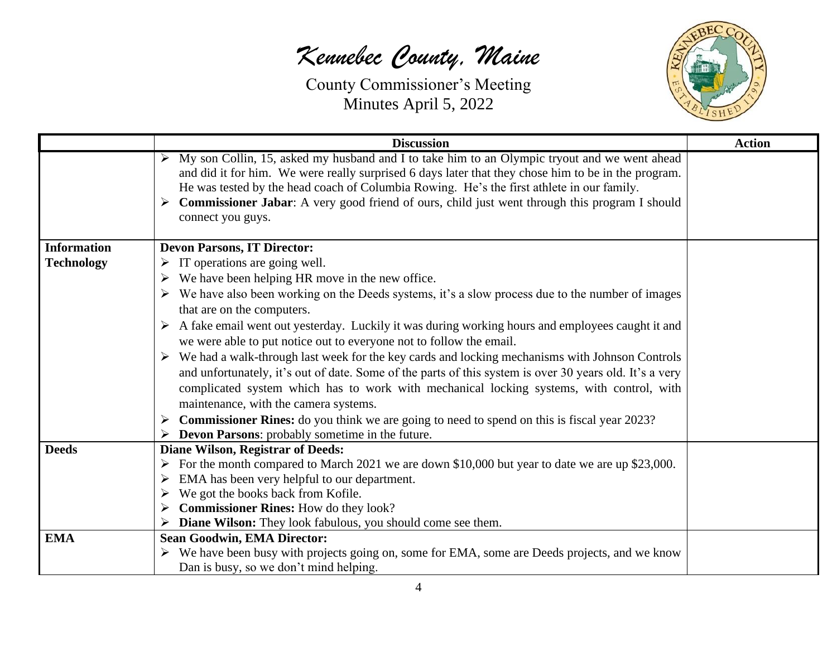

|                    | <b>Discussion</b>                                                                                                                                                                                                                                                                                                                                                                                                                         | <b>Action</b> |
|--------------------|-------------------------------------------------------------------------------------------------------------------------------------------------------------------------------------------------------------------------------------------------------------------------------------------------------------------------------------------------------------------------------------------------------------------------------------------|---------------|
|                    | $\triangleright$ My son Collin, 15, asked my husband and I to take him to an Olympic tryout and we went ahead<br>and did it for him. We were really surprised 6 days later that they chose him to be in the program.<br>He was tested by the head coach of Columbia Rowing. He's the first athlete in our family.<br>> Commissioner Jabar: A very good friend of ours, child just went through this program I should<br>connect you guys. |               |
| <b>Information</b> | <b>Devon Parsons, IT Director:</b>                                                                                                                                                                                                                                                                                                                                                                                                        |               |
| <b>Technology</b>  | IT operations are going well.                                                                                                                                                                                                                                                                                                                                                                                                             |               |
|                    | $\triangleright$ We have been helping HR move in the new office.                                                                                                                                                                                                                                                                                                                                                                          |               |
|                    | $\triangleright$ We have also been working on the Deeds systems, it's a slow process due to the number of images<br>that are on the computers.                                                                                                                                                                                                                                                                                            |               |
|                    | $\triangleright$ A fake email went out yesterday. Luckily it was during working hours and employees caught it and<br>we were able to put notice out to everyone not to follow the email.                                                                                                                                                                                                                                                  |               |
|                    | $\triangleright$ We had a walk-through last week for the key cards and locking mechanisms with Johnson Controls<br>and unfortunately, it's out of date. Some of the parts of this system is over 30 years old. It's a very<br>complicated system which has to work with mechanical locking systems, with control, with<br>maintenance, with the camera systems.                                                                           |               |
|                    | $\triangleright$ Commissioner Rines: do you think we are going to need to spend on this is fiscal year 2023?                                                                                                                                                                                                                                                                                                                              |               |
|                    | <b>Devon Parsons:</b> probably sometime in the future.                                                                                                                                                                                                                                                                                                                                                                                    |               |
| <b>Deeds</b>       | <b>Diane Wilson, Registrar of Deeds:</b>                                                                                                                                                                                                                                                                                                                                                                                                  |               |
|                    | For the month compared to March 2021 we are down \$10,000 but year to date we are up \$23,000.                                                                                                                                                                                                                                                                                                                                            |               |
|                    | $\triangleright$ EMA has been very helpful to our department.                                                                                                                                                                                                                                                                                                                                                                             |               |
|                    | We got the books back from Kofile.                                                                                                                                                                                                                                                                                                                                                                                                        |               |
|                    | $\triangleright$ Commissioner Rines: How do they look?                                                                                                                                                                                                                                                                                                                                                                                    |               |
| <b>EMA</b>         | Diane Wilson: They look fabulous, you should come see them.<br><b>Sean Goodwin, EMA Director:</b>                                                                                                                                                                                                                                                                                                                                         |               |
|                    | $\triangleright$ We have been busy with projects going on, some for EMA, some are Deeds projects, and we know                                                                                                                                                                                                                                                                                                                             |               |
|                    | Dan is busy, so we don't mind helping.                                                                                                                                                                                                                                                                                                                                                                                                    |               |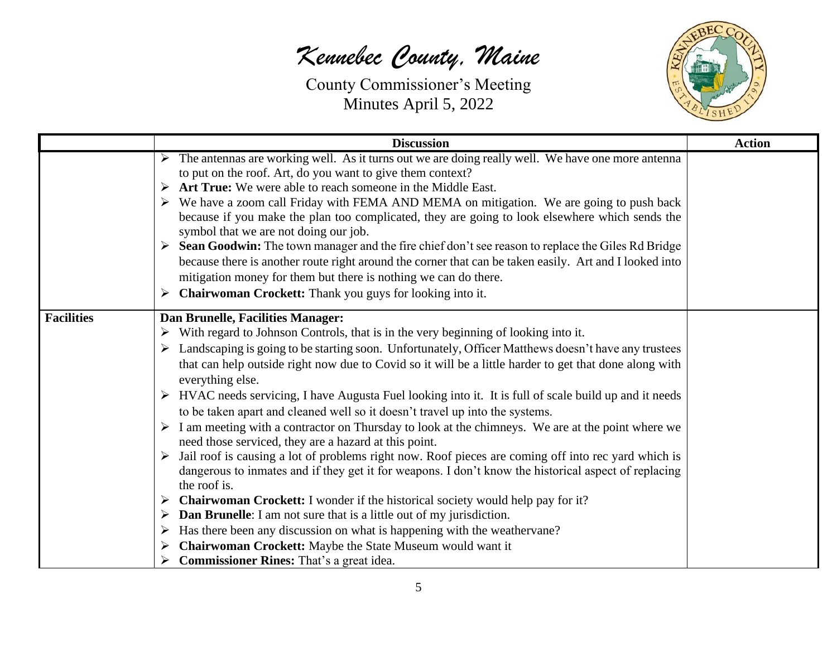

|                                       | <b>Discussion</b>                                                                                                                                                                                                                                                                                                                                                                                                                                                                                                                                                                                                                                                                                                                                                                                                                                                                                                                                                                                                                                                                                                                                                                                                                                                                                                                                                       | <b>Action</b> |
|---------------------------------------|-------------------------------------------------------------------------------------------------------------------------------------------------------------------------------------------------------------------------------------------------------------------------------------------------------------------------------------------------------------------------------------------------------------------------------------------------------------------------------------------------------------------------------------------------------------------------------------------------------------------------------------------------------------------------------------------------------------------------------------------------------------------------------------------------------------------------------------------------------------------------------------------------------------------------------------------------------------------------------------------------------------------------------------------------------------------------------------------------------------------------------------------------------------------------------------------------------------------------------------------------------------------------------------------------------------------------------------------------------------------------|---------------|
| ➤<br>➤                                | $\triangleright$ The antennas are working well. As it turns out we are doing really well. We have one more antenna<br>to put on the roof. Art, do you want to give them context?<br>Art True: We were able to reach someone in the Middle East.<br>$\triangleright$ We have a zoom call Friday with FEMA AND MEMA on mitigation. We are going to push back<br>because if you make the plan too complicated, they are going to look elsewhere which sends the<br>symbol that we are not doing our job.<br>Sean Goodwin: The town manager and the fire chief don't see reason to replace the Giles Rd Bridge<br>because there is another route right around the corner that can be taken easily. Art and I looked into<br>mitigation money for them but there is nothing we can do there.<br><b>Chairwoman Crockett:</b> Thank you guys for looking into it.                                                                                                                                                                                                                                                                                                                                                                                                                                                                                                              |               |
| <b>Facilities</b><br>➤<br>➤<br>➤<br>➤ | Dan Brunelle, Facilities Manager:<br>$\triangleright$ With regard to Johnson Controls, that is in the very beginning of looking into it.<br>Landscaping is going to be starting soon. Unfortunately, Officer Matthews doesn't have any trustees<br>that can help outside right now due to Covid so it will be a little harder to get that done along with<br>everything else.<br>HVAC needs servicing, I have Augusta Fuel looking into it. It is full of scale build up and it needs<br>to be taken apart and cleaned well so it doesn't travel up into the systems.<br>$\triangleright$ I am meeting with a contractor on Thursday to look at the chimneys. We are at the point where we<br>need those serviced, they are a hazard at this point.<br>$\triangleright$ Jail roof is causing a lot of problems right now. Roof pieces are coming off into rec yard which is<br>dangerous to inmates and if they get it for weapons. I don't know the historical aspect of replacing<br>the roof is.<br><b>Chairwoman Crockett:</b> I wonder if the historical society would help pay for it?<br><b>Dan Brunelle:</b> I am not sure that is a little out of my jurisdiction.<br>Has there been any discussion on what is happening with the weathervane?<br>Chairwoman Crockett: Maybe the State Museum would want it<br><b>Commissioner Rines:</b> That's a great idea. |               |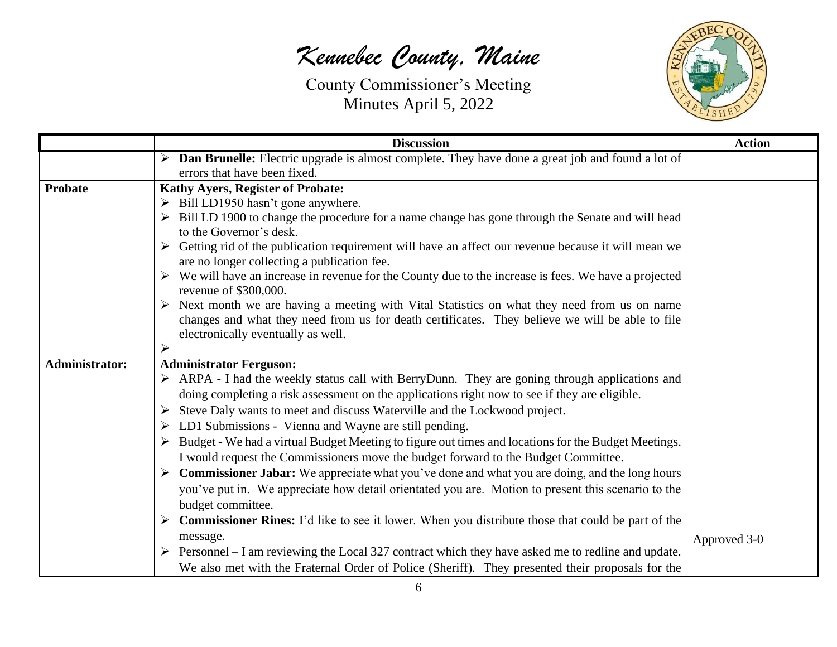

|                | <b>Discussion</b>                                                                                                                                                                                              | <b>Action</b> |
|----------------|----------------------------------------------------------------------------------------------------------------------------------------------------------------------------------------------------------------|---------------|
|                | > Dan Brunelle: Electric upgrade is almost complete. They have done a great job and found a lot of                                                                                                             |               |
|                | errors that have been fixed.                                                                                                                                                                                   |               |
| <b>Probate</b> | <b>Kathy Ayers, Register of Probate:</b>                                                                                                                                                                       |               |
|                | $\triangleright$ Bill LD1950 hasn't gone anywhere.                                                                                                                                                             |               |
|                | > Bill LD 1900 to change the procedure for a name change has gone through the Senate and will head<br>to the Governor's desk.                                                                                  |               |
|                | $\triangleright$ Getting rid of the publication requirement will have an affect our revenue because it will mean we<br>are no longer collecting a publication fee.                                             |               |
|                | $\triangleright$ We will have an increase in revenue for the County due to the increase is fees. We have a projected<br>revenue of \$300,000.                                                                  |               |
|                | $\triangleright$ Next month we are having a meeting with Vital Statistics on what they need from us on name<br>changes and what they need from us for death certificates. They believe we will be able to file |               |
|                | electronically eventually as well.                                                                                                                                                                             |               |
|                | ➤                                                                                                                                                                                                              |               |
| Administrator: | <b>Administrator Ferguson:</b>                                                                                                                                                                                 |               |
|                | $\triangleright$ ARPA - I had the weekly status call with BerryDunn. They are goning through applications and                                                                                                  |               |
|                | doing completing a risk assessment on the applications right now to see if they are eligible.                                                                                                                  |               |
|                | > Steve Daly wants to meet and discuss Waterville and the Lockwood project.                                                                                                                                    |               |
|                | > LD1 Submissions - Vienna and Wayne are still pending.                                                                                                                                                        |               |
|                | > Budget - We had a virtual Budget Meeting to figure out times and locations for the Budget Meetings.                                                                                                          |               |
|                | I would request the Commissioners move the budget forward to the Budget Committee.                                                                                                                             |               |
|                | $\triangleright$ Commissioner Jabar: We appreciate what you've done and what you are doing, and the long hours                                                                                                 |               |
|                | you've put in. We appreciate how detail orientated you are. Motion to present this scenario to the                                                                                                             |               |
|                | budget committee.                                                                                                                                                                                              |               |
|                | <b>Commissioner Rines:</b> I'd like to see it lower. When you distribute those that could be part of the                                                                                                       |               |
|                | message.                                                                                                                                                                                                       | Approved 3-0  |
|                | $\triangleright$ Personnel – I am reviewing the Local 327 contract which they have asked me to redline and update.                                                                                             |               |
|                | We also met with the Fraternal Order of Police (Sheriff). They presented their proposals for the                                                                                                               |               |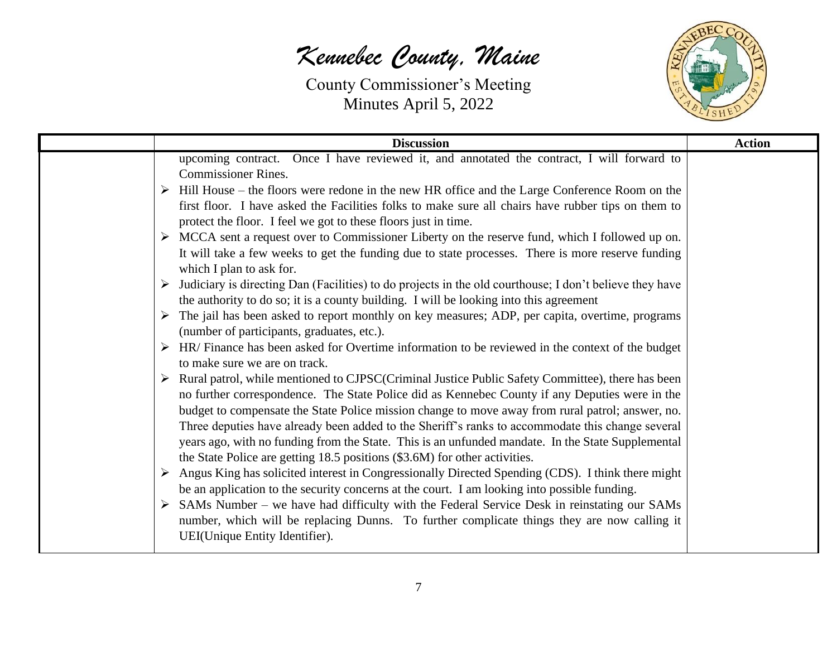

| <b>Discussion</b>                                                                                                                                                                                                                                                                                                                                                                                                                                                                                                                                                                                                                                                                                                                                                                                                                                                                                                                                                                                                                                                                                                                                                                                                                                                                                                                                                                                                                                                                                                                                                                                                                                                                                                                                                                                          | <b>Action</b> |
|------------------------------------------------------------------------------------------------------------------------------------------------------------------------------------------------------------------------------------------------------------------------------------------------------------------------------------------------------------------------------------------------------------------------------------------------------------------------------------------------------------------------------------------------------------------------------------------------------------------------------------------------------------------------------------------------------------------------------------------------------------------------------------------------------------------------------------------------------------------------------------------------------------------------------------------------------------------------------------------------------------------------------------------------------------------------------------------------------------------------------------------------------------------------------------------------------------------------------------------------------------------------------------------------------------------------------------------------------------------------------------------------------------------------------------------------------------------------------------------------------------------------------------------------------------------------------------------------------------------------------------------------------------------------------------------------------------------------------------------------------------------------------------------------------------|---------------|
| upcoming contract. Once I have reviewed it, and annotated the contract, I will forward to<br><b>Commissioner Rines.</b><br>$\triangleright$ Hill House – the floors were redone in the new HR office and the Large Conference Room on the<br>first floor. I have asked the Facilities folks to make sure all chairs have rubber tips on them to<br>protect the floor. I feel we got to these floors just in time.<br>$\triangleright$ MCCA sent a request over to Commissioner Liberty on the reserve fund, which I followed up on.<br>It will take a few weeks to get the funding due to state processes. There is more reserve funding<br>which I plan to ask for.<br>Judiciary is directing Dan (Facilities) to do projects in the old courthouse; I don't believe they have<br>➤<br>the authority to do so; it is a county building. I will be looking into this agreement<br>$\triangleright$ The jail has been asked to report monthly on key measures; ADP, per capita, overtime, programs<br>(number of participants, graduates, etc.).<br>$\triangleright$ HR/ Finance has been asked for Overtime information to be reviewed in the context of the budget<br>to make sure we are on track.<br>Rural patrol, while mentioned to CJPSC(Criminal Justice Public Safety Committee), there has been<br>no further correspondence. The State Police did as Kennebec County if any Deputies were in the<br>budget to compensate the State Police mission change to move away from rural patrol; answer, no.<br>Three deputies have already been added to the Sheriff's ranks to accommodate this change several<br>years ago, with no funding from the State. This is an unfunded mandate. In the State Supplemental<br>the State Police are getting 18.5 positions (\$3.6M) for other activities.<br>➤ |               |
| Angus King has solicited interest in Congressionally Directed Spending (CDS). I think there might<br>be an application to the security concerns at the court. I am looking into possible funding.<br>SAMs Number – we have had difficulty with the Federal Service Desk in reinstating our SAMs<br>number, which will be replacing Dunns. To further complicate things they are now calling it<br>UEI(Unique Entity Identifier).                                                                                                                                                                                                                                                                                                                                                                                                                                                                                                                                                                                                                                                                                                                                                                                                                                                                                                                                                                                                                                                                                                                                                                                                                                                                                                                                                                           |               |